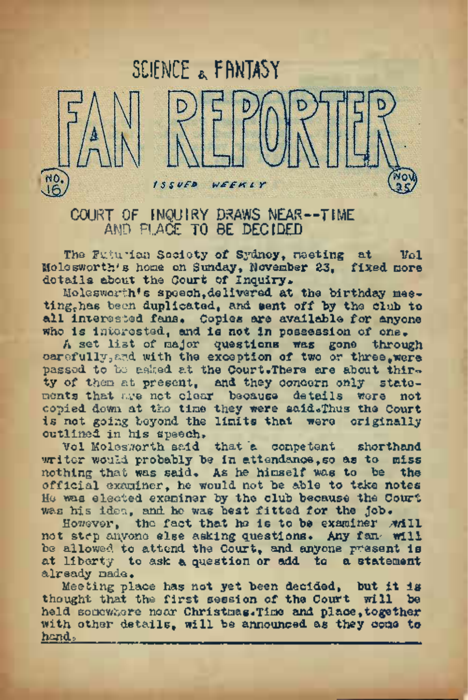

COURT OF INQUIRY DRAWS NEAR—TIME AND PLACE TO BE DECIDED

The Futurian Society of Sydney, nesting at Vol Molesworth's home on Sunday, November 23, fixed more details about the Court Of Inquiry.

Moleswort-h's speech,delivered at the birthday meeting, has been duplicated, and sent off by the club to all interested fans. Copies are available for anyone who is interested, and is not in possession of one.

<sup>A</sup> set list of major questions was gone through carefully, and with the exception of two or three, were passed to be asked at the Court.There are about thirty of them at present, and they concern only state-<br>ments that me not clear because details were not ments that are net clear because details were copied down at the time they were said.Thus the Court is not going beyond the limits that were originally outlined in his speech.

Vol Molesworth said that 'a competent shorthand writer would probably be in attendance, so as to miss nothing that was said. As he himself was to be the official examiner, he would not be able to take notes He was elected examiner by the club because the Court was his idea, and ho was best fitted for the Job.

However, the fact that he is to be examiner while not step anyone else asking questions. Any fan. will be allowed to attend the Court, and anyone present is at liberty to ask a question or add to a statement already made.

Meeting place has not yet been decided, but it is thought that the first session of the Court will be held somewhere near Christmas.Time and place,together with other details, will be announced as they come to hand.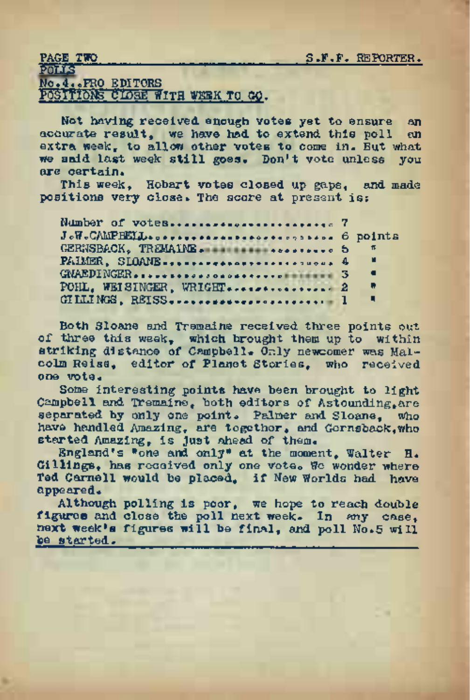#### PAGE TWO S.F.F. REPORTER.

POLLS...... .......................... , r . No.4.oPRO EDITORS

POSITIONS CIOSE WITH WEEK TO Gp.

Not having received enough votes yet to ensure an annual received enough votes yet to ensure an accurate result, we have had to extend this poll extra week, to allow other votes to come in. But what we said last week still goes. Don't vote unless you are certain.

This week, Hobart votes closed up gaps, and made positions very close. The score at present is:

| : сегіятл. |  |                                               |  |  |  |                |  |
|------------|--|-----------------------------------------------|--|--|--|----------------|--|
|            |  | This week. Hobart votes closed up gaps, and m |  |  |  |                |  |
|            |  | itions very close. The score at present is:   |  |  |  |                |  |
|            |  |                                               |  |  |  |                |  |
|            |  |                                               |  |  |  |                |  |
|            |  |                                               |  |  |  |                |  |
|            |  |                                               |  |  |  | $ \pi$         |  |
|            |  |                                               |  |  |  |                |  |
|            |  |                                               |  |  |  | - 4            |  |
|            |  | POHL, WEISINGER, WRIGHT  2                    |  |  |  | $\blacksquare$ |  |
|            |  |                                               |  |  |  | п.             |  |
|            |  |                                               |  |  |  |                |  |

Both Sloane and Tremaine received three points out of three this week, which brought them up to within striking distance of Campbell. Only newcomer was Malcolm Reiss, editor of Planet Stories, who received one vote.

Some interesting points have been brought to light Campbell and Tremaine, both editors of Astounding,are separated by only one point. Palmer and Sloane, who have handled Amazing, are together, and Gernsback,who started Amazing, is just ahead of them. England's "one and only" at the moment, Walter H.

Gillings, has received only one vote. We wonder where Ted Cornell would be placed, if New Worlds had have appeared.

Although polling is poor, we hope to reach double figures and close the poll next week. In any case, next week's figures will be final, and poll No.<sup>5</sup> will be started.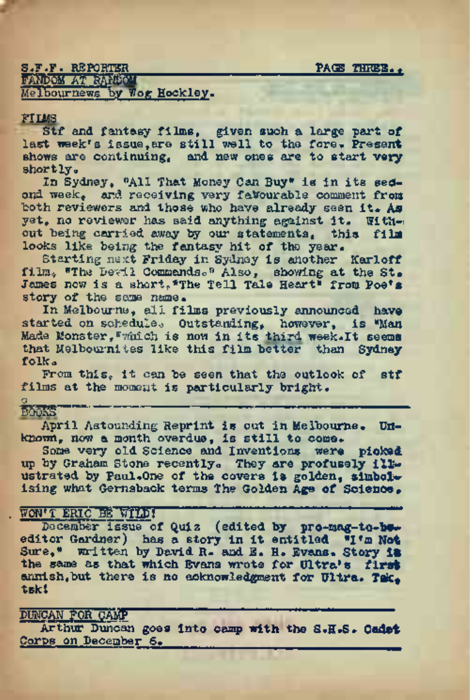# s.f.f. reporter<br>S.f.f. reporter<br>PACE Three., package package package package., FANDOM AT RANDOM

Melbournews by Wog Hockley.

#### FILMS

Stf and. fantasy films, given such a large part of last week's issue, are still well to the fore. Present shows are continuing, and. *new ones* are to start very shortly.

In Sydney, "All That Money Can Buy" is in its sedond week, and receiving very favourable comment from both reviewers and those who have already seen it. As yet, no reviewer has said anything against it. With-: out being carried away by our statements, this film looks like being the fantasy hit of the year.

Starting next Friday in Sydney is another Karloff film. "The Devil Commands." Also, showing at the St. James now is a short, "The Tell Tale Heart" from Poe's story of the same name.

In Melbourne, all films previously announced have started on schedule. Outstanding, however, is "Man Made Monster,"which is now in its third <week.It> seems that Melbournites like this film better than Sydney folk<sup>a</sup>

From this, it can be seen that the outlook of stf films at the moment is particularly bright.

### $q$  , and the set of the set of the set of the set of the set of the set of the set of the set of the set of the set of the set of the set of the set of the set of the set of the set of the set of the set of the set of th

## booics

April Astounding Reprint is out in Melbourne. Unknown, now a month overdue, is still to come.

Some very old Science and Inventions were picked<br>up by Graham Stone recently. They are profusely ille-<br>ustrated by Paul.One of the covers is golden, simbol ising what Gernsback terms The Golden Age of Science.

. WON'T ERIC'EE WIID!<br>December issue of Quiz (edited by pro-mag-to-beeditor Gardner) has a story in it entitled "I'<sup>m</sup> **Not** Sure," written by David R. and E. H. Evans. Story **IB** the same as that which Evans wrote for Ultra's **first** annish, but there is no acknowledgment for Ultra. Tak. tskl

# DUNCAN FOR CAMP

Arthur Duncan goes into camp with the S.H.S\* **Cadet** Corps on December 6.